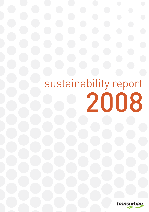# sustainability report 2008

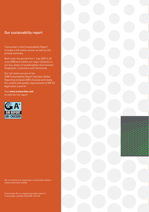# Our sustainability report

Transurban's third Sustainability Report includes a full online version as well as this printed summary.

Both cover the period from 1 July 2007 to 30 June 2008 and outline our major initiatives in our four pillars of sustainability: Environment, Employees, Customers and Community.

Our full online version of the 2008 Sustainability Report has been Global Reporting Initiative (GRI) checked and meets the content and quality requirements of GRI G3 Application Level A+.

Visit **www.transurban.com**  to view the full report.



All currencies are expressed in Australian dollars

Transurban ® is a registered trade mark of Transurban Limited, ACN 098 143 410

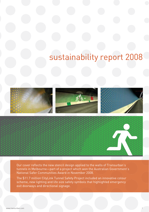# sustainability report 2008







Our cover reflects the new stencil design applied to the walls of Transurban's tunnels in Melbourne—part of a project which won the Australian Government's National Safer Communities Award in November 2008.

The \$11.7 million CityLink Tunnel Safety Project included an innovative colour scheme, new lighting and life size safety symbols that highlighted emergency exit doorways and directional signage.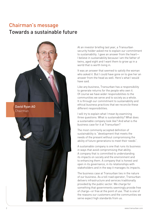# Chairman's message Towards a sustainable future



At an investor briefing last year, a Transurban security holder asked me to explain our commitment to sustainability. I gave an answer from the heart— I believe in sustainability because I am the father of twins, aged eight and I want them to grow up in a world that is worth living in.

It was an answer that seemed to satisfy the woman who asked it. But I could have gone on to give her an answer from the head as well. Here's what I would have said.

Like any business, Transurban has a responsibility to generate returns for the people who own it. Of course we have wider responsibilities to the communities we serve and to society as a whole. It is through our commitment to sustainability and ethical business practices that we reconcile these different responsibilities.

I will try to explain what I mean by examining three questions: What is sustainability? What does a sustainable company look like? And what is the business case for it at Transurban?

The most commonly accepted definition of sustainability is "development that meets the needs of the present without compromising the ability of future generations to meet their needs".

A sustainable company is one that runs its business in ways that avoid compromising that ability. A company that is committed to understanding its impacts on society and the environment and to enhancing them. A company that is honest and open in its governance, in its relationships with stakeholders and in the way it manages its impacts.

The business case at Transurban lies in the nature of our business. As a toll road operator, Transurban delivers infrastructure and services traditionally provided by the public sector. We charge for something that governments seemingly provide free of charge—or free at the point of use. That is one of the reasons our customers and the communities we serve expect high standards from us.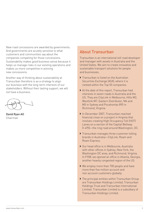New road concessions are awarded by governments. And governments are acutely sensitive to what customers and communities say about the companies competing for those concessions. Sustainability makes good business sense because it helps us manage risks in our existing operations and makes us more competitive in winning new concessions.

Another way of thinking about sustainability at Transurban therefore is as a strategy to align our business with the long-term interests of our stakeholders. Without their lasting support, we will not have a business.

David Ryan AO Chairman

# About Transurban

Transurban is an international toll road developer and manager with assets in Australia and the United States. We aim to create innovative and sustainable transport solutions for people and businesses.

- $\triangleright$  Transurban is listed on the Australian Securities Exchange (ASX), where it is ranked within the Top 50 companies.
- ` At the date of this report, Transurban had interests in seven roads in Australia and the US. They are CityLink in Melbourne, Hills M2, Westlink M7, Eastern Distributor, M4 and M5 in Sydney and Pocahontas 895 in Richmond, Virginia.
- ` In December 2007, Transurban reached financial close on a project in Virginia that involves creating High Occupancy Toll (HOT) Lanes on a section of the Capital Beltway (I-495)—the ring road around Washington, DC.
- $\triangleright$  Transurban manages three customer tolling brands in Australia—CityLink, Roam and Roam Express.
- ▶ Our head office is in Melbourne, Australia with other offices in Sydney, New York, the Washington DC area, and Richmond, Virginia. In FY08, we opened an office in Atlanta, Georgia, another heavily congested region of the US.
- ▶ We employ more than 700 people and have more than five million account and non-account customers globally.
- $\blacktriangleright$  The principal entities within Transurban Group are Transurban Holdings Limited, Transurban Holdings Trust and Transurban International Limited. Transurban Limited is a subsidiary of Transurban Holdings Limited.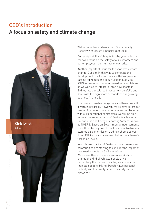# CEO's introduction

# A focus on safety and climate change



Welcome to Transurban's third Sustainability Report which covers Financial Year 2008.

Our sustainability highlights for the year reflect a renewed focus on the safety of our customers and our employees—our number one priority.

Another important focus for the year was climate change. Our aim in this was to complete the development of a formal policy with Group-wide targets for reductions in our Greenhouse Gas (GHG) emissions. That aim proved to be ambitious as we worked to integrate three new assets in Sydney into our toll road investment portfolio and dealt with the significant demands of our growing business in the US.

The formal climate change policy is therefore still a work in progress. However, we do have externally verified figures on our existing emissions. Together with our operational contractors, we will be able to meet the requirements of Australia's National Greenhouse and Energy Reporting System, known as NGERS. Based on Government announcements, we will not be required to participate in Australia's planned carbon emission trading scheme as our direct GHG emissions are well below the scheme's threshold levels.

In our home market of Australia, governments and communities are starting to consider the impact of new road projects on GHG emissions. We believe these concerns are more likely to change the kind of vehicles people drive particularly the fuel sources they rely on—rather than stop people driving. People value personal mobility and the reality is our cities rely on the motor car.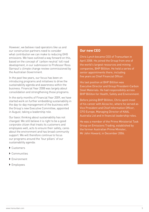However, we believe road operators like us and our construction partners need to consider what contribution we can make to reducing GHG emissions. We have outlined a way forward on this, based on the concept of 'carbon neutral' toll road development, in our submission to Professor Ross Garnaut's climate change review commissioned by the Australian Government.

In the past few years, our focus has been on introducing programs and initiatives to drive the sustainability agenda and awareness within the business. Financial Year 2008 was largely about consolidation and strengthening those programs.

In the early months of Financial Year 2009, we have started work on further embedding sustainability in the day-to-day management of the business with the Group's new Executive Committee, appointed in August, taking a leadership role.

Our basic thinking about sustainability has not changed. We still believe it is right to be a good corporate citizen that treats its customers and employees well, acts to ensure their safety, cares about the environment and has broad community support. We will therefore continue to focus our programs around the 'four pillars' of our sustainability agenda:

- ` Customers
- $\triangleright$  Communities
- ` Environment
- ▶ Employees

## **Our new CEO**

Chris Lynch became CEO of Transurban in April 2008. He joined the Group from one of the world's largest resources and mining companies, BHP Billiton. He held a series of senior appointments there, including five years as Chief Financial Officer.

His last position at BHP Billiton was Executive Director and Group President-Carbon Steel Materials. He had responsibility across BHP Billiton for Health, Safety and Environment.

Before joining BHP Billiton, Chris spent most of his career with Alcoa Inc, where he served as Vice President and Chief Information Officer, CFO Europe, Managing Director of KAAL Australia Ltd and in financial leadership roles.

He was a member of the Prime Ministerial Task Group on Emissions Trading, established by the former Australian Prime Minister, Mr John Howard, in December 2006.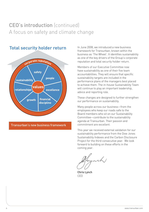# CEO's introduction (continued) A focus on safety and climate change



# **Total security holder return**

Transurban's new business framework

In June 2008, we introduced a new business framework for Transurban, known within the business as 'The Wheel'. It identifies sustainability as one of the key drivers of the Group's corporate reputation and total security holder return.

Members of our Executive Committee now have sustainability as one of their five team accountabilities. They will ensure that specific sustainability targets are included in the performance plans of the managers best placed to achieve them. The in-house Sustainability Team will continue to play an important leadership, advice and reporting role.

These changes are designed to further strengthen our performance on sustainability.

Many people across our business—from the employees who keep our roads safe to the Board members who sit on our Sustainability Committee—contribute to the sustainability agenda at Transurban. Their passion and commitment are excellent.

This year we received external validation for our sustainability performance from the Dow Jones Sustainability Indexes and the Carbon Disclosure Project for the third consecutive year. We look forward to building on these efforts in the coming year.

Chris Lynch CEO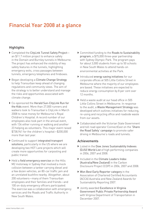# Financial Year 2008 at a glance

# **Highlights**

- ▶ Completed the CityLink Tunnel Safety Projectan \$11.7 million project to enhance safety in the Domain and Burnley tunnels in Melbourne. The project has enhanced the visibility of key safety features in the tunnels, highlighting emergency exits, cross passages between tunnels, emergency telephones and fireboxes.
- ▶ Began developing a Climate Change Strategy to help Transurban keep ahead of changing regulations and community views. The aim of the strategy is to better understand and manage the risks and opportunities associated with climate change.
- ▶ Co-sponsored the Herald Sun-CityLink Run for the Kids event. More than 27,000 runners and walkers took to Transurban's CityLink in March 2008 to raise money for Melbourne's Royal Children's Hospital. A record number of our employees also took part in the annual event, with 134 either running or walking and another 23 helping as volunteers. This major event raised \$738,941 for the children's hospital—\$200,000 more than last year.
- ▶ Continued to support integrated transport solutions, particularly in the US where we are developing two HOT Lane projects which will create more opportunities for carpooling and public transit.
- $\blacktriangleright$  Held a field emergency exercise on the Hills M2 motorway in Sydney that involved a mock collision between a tanker carrying diesel and a few dozen vehicles, an 80-car traffic jam and an unrelated bushfire nearby. Altogether, about 200 volunteers—many of them Transurban employees and their families and friends—and 100 on-duty emergency officers participated. The exercise was a collaboration with emergency services and the Roads and Traffic Authority in New South Wales.
- $\triangleright$  Committed funding to the Roads to Sustainability program, a \$75,000 three-year partnership with Sydney Olympic Park. The program pays for about 3,000 students from up to 50 schools in New South Wales to attend hands-on environmental activities at the Park.
- $\blacktriangleright$  Introduced energy saving initiatives for our corporate offices at 505 Little Collins Street in Melbourne where the majority of our employees are based. These initiatives are expected to reduce energy consumption by 8 per cent over 12 months.
- ▶ Held a waste audit at our head office in 505 Little Collins Street in Melbourne. In response to the audit, a Waste Management Strategy was developed which outlines initiatives for reducing, re-using and recycling office and roadside waste from our assets.
- $\triangleright$  Collaborated with the Victorian State Government and toll road operator ConnectEast on the 'Share the Road Safely' campaign to promote safer driving in Melbourne's roads and tunnels.

# Achievements

- $\blacktriangleright$  Listed in the Dow Jones Sustainability Indexes (DJSI) World List of high performing companies in 2006, 2007 and 2008.
- ` Included in the Climate Leaders Index (Australia/New Zealand) in the Carbon Disclosure Project (CDP) in 2006, 2007 and 2008.
- ▶ Won Best Early Reporter category in the Association of Chartered Certified Accountants (ACCA) Australia and New Zealand Awards for Sustainability Reporting 2007.
- $\triangleright$  Jointly awarded Excellence in Virginia Government Public Private Partnership Award with Virginia Department of Transportation in December 2007.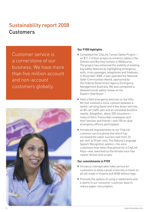# Sustainability report 2008 **Customers**

Customer service is a cornerstone of our business. We have more than five million account and non-account customers globally.



## **Our FY08 highlights**

- ▶ Completed the CityLink Tunnel Safety Projectan \$11.7 million project to enhance safety in the Domain and Burnley tunnels in Melbourne. The project has enhanced the visibility of existing key safety features by highlighting emergency exits, cross passages, telephones and fireboxes. In November 2008, it was awarded the National Safer Communities Award, sponsored by the Federal Government agency Emergency Management Australia. We also completed a detailed tunnel safety review on the Eastern Distributor.
- ` Held a field emergency exercise on the Hills M2 that involved a mock collision between a tanker carrying diesel and a few dozen vehicles, an 80-car traffic jam and an unrelated bushfire nearby. Altogether, about 200 volunteers many of them Transurban employees and their families and friends—and 100 on-duty emergency officers participated.
- ` Introduced improvements to our CityLink customer service phone line which has increased the caller success rate from 33 per cent to 55 per cent. The Natural Language Speech Recognition system—the voice customers hear when they phone for a CityLink Pass—was reworked so the female voice has clearer diction and scripts.

## **Our commitments in FY09**

- ` Introduce interoperable video service for customers to allow casual motorists to travel on all toll roads in Victoria and NSW without tags.
- ▶ Promote the options of using e-statements and e-alerts to our consumer customer base to reduce paper consumption.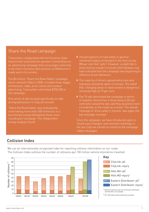# Share the Road campaign

Transurban collaborated with the Victorian State Government and EastLink operator ConnectEast on an advertising campaign that encourages motorists to be more courteous and cautious on Melbourne's roads and in its tunnels.

The \$3 million 'Share the Road Safely' campaign, which started in March 2008, included three stages of television, radio, print, online and outdoor advertising. Transurban committed \$750,000 to the campaign.

One series of ads focused specifically on safe driving behaviours in CityLink tunnels.

'Share the Road Safely' was evaluated by interviewing more than 500 motorists in a benchmark survey followed by three more rounds post-campaign. The independent survey analysts found:

- remained largely unchanged in the final survey (88 per cent feel 'safe'). However, a slight fall in those feeling unsafe in tunnels and freeways may have indicated that the campaign was beginning to influence driver behaviour.
- $\triangleright$  The majority of drivers agreed extra care and tolerance should be taken in tunnels. The belief remained high at 79 per cent.
- $\triangleright$  The TV ads dominated the campaign in terms of visibility. Almost two in three drivers (59 per cent) who viewed the ads said they would be more considerate on the roads as a result. The overall message of 'drive safely in tunnels' was again the key message received.

Since the campaign, we have introduced signs to 'Avoid Lane Changes' and new lane markings in the two CityLink tunnels to reinforce the campaign

# Collision Index





# We use an internationally recognised index for reporting collision information on our roads. The Collision Index outlines the number of collisions per 100 million vehicle kilometres travelled.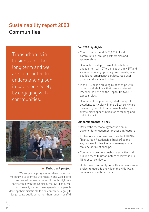# Sustainability report 2008 **Communities**

Transurban is in business for the long term and we are committed to understanding our impacts on society by engaging with communities.



# ▲ Public art project

We support a program for at-risk youths in Melbourne to promote their health and well-being, and social connectedness. Through CityLink's partnership with the Napier Street Studios Street Art Project, we help disengaged young people develop their artistic skills and contribute legally to large-scale public art rather than random graffiti.

## **Our FY08 highlights**

- ▶ Contributed around \$600,000 to local communities through partnerships and sponsorships.
- $\triangleright$  Conducted in-depth formal stakeholder engagement with 57 organisations in NSW and Victoria including cyclists, governments, local politicians, emergency services, road user groups and transport bodies.
- $\blacktriangleright$  In the US, began building relationships with various stakeholders that have an interest in Pocahontas 895 and the Capital Beltway HOT Lanes project.
- ▶ Continued to support integrated transport solutions, particularly in the US where we are developing two HOT Lane projects which will create more opportunities for carpooling and public transit.

## **Our commitments in FY09**

- $\blacktriangleright$  Review the methodology for the annual stakeholder engagement process in Australia.
- ▶ Embed our customised software tool TURTle (Transurban Relationship Tracker) as the key process for tracking and managing our stakeholder relationships.
- $\triangleright$  Continue to promote bushcare activities and public access to urban nature reserves in our NSW asset corridors.
- ` Undertake community consultation on a planned project to upgrade and widen the Hills M2 in collaboration with partners.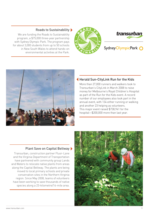



Sydney OlympicPark O



Roads to Sustainability  $\blacktriangleright$ 

We are funding the Roads to Sustainability program, a \$75,000 three-year partnership with Sydney Olympic Park. The program pays for about 3,000 students from up to 50 schools in New South Wales to attend hands-on environmental activities at the Park.

# Herald Sun-CityLink Run for the Kids

More than 27,000 runners and walkers took to Transurban's CityLink in March 2008 to raise money for Melbourne's Royal Children's Hospital as part of the Run for the Kids event. A record number of our employees also took part in the annual event, with 134 either running or walking and another 23 helping as volunteers. This major event raised \$738,941 for the hospital—\$200,000 more than last year.

# Plant Save on Capital Beltway

Transurban, construction partner Fluor-Lane and the Virginia Department of Transportation have partnered with community group Lands and Waters to relocate native plants from areas along the Capital Beltway. The plants are being moved to local primary schools and private conservation sites in the Northern Virginia region. Since May 2008, teams of volunteers have been working to save thousands of native species along a 23-kilometre/14-mile area.

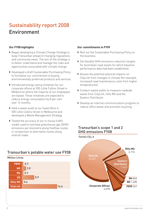# Sustainability report 2008 Environment

## **Our FY08 highlights**

- ` Began developing a Climate Change Strategy to keep Transurban ahead of changing regulations and community views. The aim of the strategy is to better understand and manage the risks and opportunities associated with climate change.
- $\blacktriangleright$  Developed a draft Sustainable Purchasing Policy to formalise our commitment to buying environmentally preferred products and services.
- ` Introduced energy saving initiatives for our corporate offices at 505 Little Collins Street in Melbourne where the majority of our employees are based. These initiatives are expected to reduce energy consumption by 8 per cent over 12 months.
- ` Held a waste audit at our head office in 505 Little Collins Street in Melbourne and developed a Waste Management Strategy.
- $\blacktriangleright$  Tested the accuracy of our in-house traffic model used to estimate greenhouse gas (GHG) emissions per kilometre along freeflow routes in comparison to alternative routes along arterial roads.

## **Our commitments in FY09**

- $\blacktriangleright$  Roll out the Sustainable Purchasing Policy to the business.
- ▶ Set feasible GHG emissions reduction targets for Australian road assets for which baseline performance data had been established.
- ` Assess the potential physical impacts on CityLink from changes in climate (for example, increased road maintenance costs from higher temperatures).
- ` Conduct waste audits to measure roadside waste from CityLink, Hills M2 and the Eastern Distributor.
- $\blacktriangleright$  Develop an internal communications program to reduce office waste and promote recycling.

# Transurban's scope 1 and 2 GHG emissions FY08



# Transurban's potable water use FY08

Million Litres

| P895            |     | 0.7 |  |     |  |  |  |  |      |  |
|-----------------|-----|-----|--|-----|--|--|--|--|------|--|
| <b>M5</b>       |     | 2.0 |  |     |  |  |  |  |      |  |
| M4              |     | 0.7 |  |     |  |  |  |  |      |  |
| ED              |     |     |  | 5.9 |  |  |  |  |      |  |
| <b>Hills M2</b> | 0.6 |     |  |     |  |  |  |  |      |  |
| <b>CityLink</b> |     |     |  |     |  |  |  |  | 16.6 |  |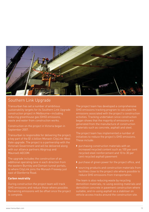

# Southern Link Upgrade

Transurban has set a number of ambitious sustainability targets for its Southern Link Upgrade reducing greenhouse gas (GHG) emissions, waste and water from construction works.

Construction on the project in Victoria began in September 2007.

Transurban is responsible for delivering the project, a key part of the \$1.4 billion Monash-CityLink-West Gate upgrade. The project is a partnership with the Victorian Government and will be delivered along with our alliance partners Abigroup and Maunsell AECOM.

The upgrade includes the construction of an additional operating lane in each direction from the eastern Burnley and Domain tunnel portals, to where CityLink joins the Monash Freeway just east of Glenferrie Road.

## **Carbon neutrality**

During construction the project team will track GHG emissions and reduce these where possible. Remaining emissions will be offset once the project is complete.

The project team has developed a comprehensive GHG emissions tracking program to calculate the activities. Tracking undertaken since construction began shows that the majority of emissions are generated from the manufacture of construction materials such as concrete, asphalt and steel.

The project team has implemented a number of initiatives to reduce the project's GHG emissions. These include:

- $\blacktriangleright$  purchasing construction materials with an increased recycled content such as 100 per cent recycled steel reinforcement and 10 to 30 per cent recycled asphalt pavement
- ` purchase of green power for the project office, and
- $\triangleright$  sourcing products and construction materials from facilities close to the project site where possible to reduce GHG emissions from transportation.

The team is also reducing waste by recycling demolition materials, re-using existing materials and demolition concrete in pavement construction where suitable, and re-using asphalt as a stabiliser on vehicle access tracks around the construction site.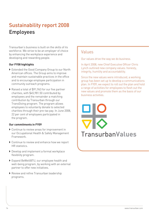# Sustainability report 2008 Employees

Transurban's business is built on the skills of its workforce. We strive to be an employer of choice by enhancing the workplace experience and developing and rewarding people.

## **Our FY08 highlights**

- ` Extended the Good Company Group to our North American offices. The Group aims to improve and maintain sustainable practices in the office and to encourage employee participation in community outreach programs.
- ▶ Raised a total of \$91,963 for our five partner charities, with \$45,981.50 contributed by employees and the remainder a matching contribution by Transurban through our TransGiving program. The program allows employees to voluntarily donate to selected charities through their pre-tax pay. In June 2008, 22 per cent of employees participated in the program.

## **Our commitments in FY09**

- $\triangleright$  Continue to review areas for improvement in our Occupational Health & Safety Management Framework.
- $\triangleright$  Continue to review and enhance how we report HR statistics.
- $\blacktriangleright$  Develop and implement a formal workplace flexibility program.
- ` Expand BeWell@TU, our employee health and well-being program, by working with an external partner to offer new initiatives.
- $\blacktriangleright$  Review and refine Transurban leadership programs.

# Values

Our values drive the way we do business.

In April 2008, new Chief Executive Officer Chris Lynch outlined new company values: honesty, integrity, humility and accountability.

Since the new values were introduced, a working group has been set up to develop a communications plan. In FY09, we expect to roll out the plan and hold a range of activities for employees to flesh out the new values and promote them as the basis of our business activities.

**TransurbanValues**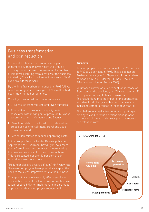# Business transformation and cost reduction

In June 2008, Transurban announced a plan to remove \$20 million a year from the Group's ongoing cost structure. This was one of a number of initiatives resulting from a review of the business initiated by Chris Lynch when he took over as Chief Executive Officer in April.

By the time Transurban announced its FY08 full year results in August, cost savings of \$21.4 million had been implemented or identified.

Chris Lynch reported that the savings were:

- ▶ \$13.1 million from reduced employee numbers
- ▶ \$1.4 million from reduced property costs associated with moving out of premium business accommodation in Melbourne and Sydney
- $\triangleright$  \$3 million related to reduced corporate costs in areas such as entertainment, travel and use of consultants, and
- ▶ \$3.9 million related to reduced operating costs.

In the group's Security Holder Review, published in September, the Chairman, David Ryan, said more than 60 employees and contractors were leaving the business as a result of the cost reductions. This represented just over 10 per cent of our Australian-based workforce.

"Redundancies are always difficult," Mr Ryan wrote. "However, employees have generally accepted the need to make cost improvements to the business."

Change of this scale invariably affects employee morale. Members of the Executive Committee have taken responsibility for implementing programs to improve morale and employee engagement.

## **Turnover**

Total employee turnover increased from 22 per cent Australian average of 15.68 per cent for Australian companies in FY08. (Mercer: Human Resource Effectiveness Monitor Survey 2008).

Voluntary turnover was 19 per cent, an increase of 2 per cent on the previous year. This represents 112 employees choosing to leave Transurban. The result highlights the impact of the operational and structural changes within our business and increased competitiveness in the labour market.

The challenge ahead is to continue supporting our employees and to focus on talent management, succession planning and career paths to improve our retention rates.

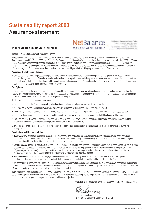# Sustainability report 2008

# Assurance statement

## **INDEPENDENT ASSURANCE STATEMENT**

![](_page_17_Picture_3.jpeg)

Net Balance Management Group Pty Ltd. Level 1, 190 Queen Street, Melbourne Mctoria 9000 Australia Tel +61.3 8641 6400 Fax +61.3 9600 1295 sbalancemanagement.com

To the Board and Stakeholders of Transurban Limited:

Transurban Limited (Transurban) commissioned Net Balance Management Group Pty Ltd (Net Balance) to provide independent assurance of the Transurban Sustainability Report 2008 (the 'Report'). The Report presents Transurban's sustainability performance over the period 1 July 2007 to 30 June 2008. Transurban was responsible for the preparation of the Report and this statement represents the assurance provider's independent opinion. As an independent assurer of the Report, the responsibility of Net Balance is to the Board and Management of Transurban alone in accordance with the terms of reference agreed. Other stakeholders should perform their own due diligence before taking any action as a result of this statement.

#### **Assurance Objectives and Process**

The objective of the assurance process is to provide stakeholders of Transurban with an independent opinion on the quality of the Report. This is confirmed through verification of the claims made, and a review of the organisation's underlying systems, processes and competencies that support the Report with respect to the principles of materiality, completeness and responsiveness. A complementary objective is to ensure continuous improvement in data management systems and associated reporting processes.

#### **Our Opinion**

Based on the scope of the assurance process, the findings of the assurance engagement provide confidence in the information contained within the Report. The level of data accuracy was found to be within acceptable limits. Data trails selected were easily identifiable and traceable, and the personnel responsible were able to reliably demonstrate the origin(s) and interpretation of data.

The following represents the assurance provider's opinion:

- Statements made in the Report appropriately reflect environmental and social performance achieved during the period.
- All errors noted by the assurance provider were satisfactorily addressed by Transurban prior to finalising the report.
- The majority of systems used to collect and retrieve data were robust and had shown significant improvement from those employed last year.
- Gains have been made in relation to reporting on US operations. However, improvements to management of US data can still be made.
- Participation of part-owned companies in the assurance process was cooperative. However, additional training and communications around the importance and benefits of assurance may provide efficiencies in future assurance work.

Overall, the assurance provider is satisfied that the Report is an appropriate representation of Transurban's sustainability performance during the reporting period.

#### **Conclusions and Recommendations**

- *Materiality:* Environmental, social and broader economic aspects and issues that are considered material to stakeholders and peers have been addressed and communicated within the Report. The teams responsible for managing sustainability at Transurban were competent and had a good understanding of the sustainability issues material to Transurban business operations.
- *Completeness:* Transurban has effective systems in place to measure, monitor and manage sustainability issues. Net Balance carried out visits to three sites and communicated with personnel from all other sites during the assurance engagement. The information presented is comparable (in terms of year-on-year performance) and is in a format that is easily understandable to a range of stakeholders. Overall, the information presented is a fair representation of Transurban's sustainability performance and is presented in a balanced manner.
- *Responsiveness:* Transurban actively engaged with customers, industry groups, government and the communities in which they operate. Furthermore, Transurban has responded appropriately to the concerns of its stakeholders and has addressed these in the Report.

A key opportunity in improving the Report's responsiveness is to respond to stakeholders' requests to see more comprehensive reporting on Transurban's 'environmentally sustainable transport options and infrastructure design' and 'integration with other transport modes'. While work has begun on this in the US, an opportunity to further improve this level of reporting is presented.

Transurban is well positioned to continue to show leadership in the areas of climate change management and sustainable purchasing. A key challenge will be to build the policy work undertaken in the past year in order to maintain a leadership stance. In particular, implementation of the initiatives set out in the policies should be given a high priority in order to achieve set objectives.

On behalf of the assurance team, 3rd December 2008, Melbourne, Australia

Terence Jeyaretnam Director, Net Balance & Lead CSAP (IRCA UK)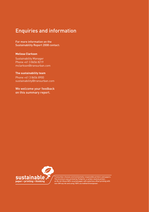# Enquiries and information

For more information on the Sustainability Report 2008 contact:

## **Melissa Clarkson**

Sustainability Manager Phone +61 3 8656 8219 mclarkson@transurban.com

**The sustainability team** Phone +61 3 8656 8900 sustainability@transurban.com

We welcome your feedback on this summary report.

![](_page_18_Picture_6.jpeg)

Transurban chooses environmentally-responsible printers and papers.<br>This brochure was printed by Fishprint, a carbon-neutral printer,<br>on Re-Art Gloss100% recycled paper with waterless offset printing with<br>non-GM soy ink an